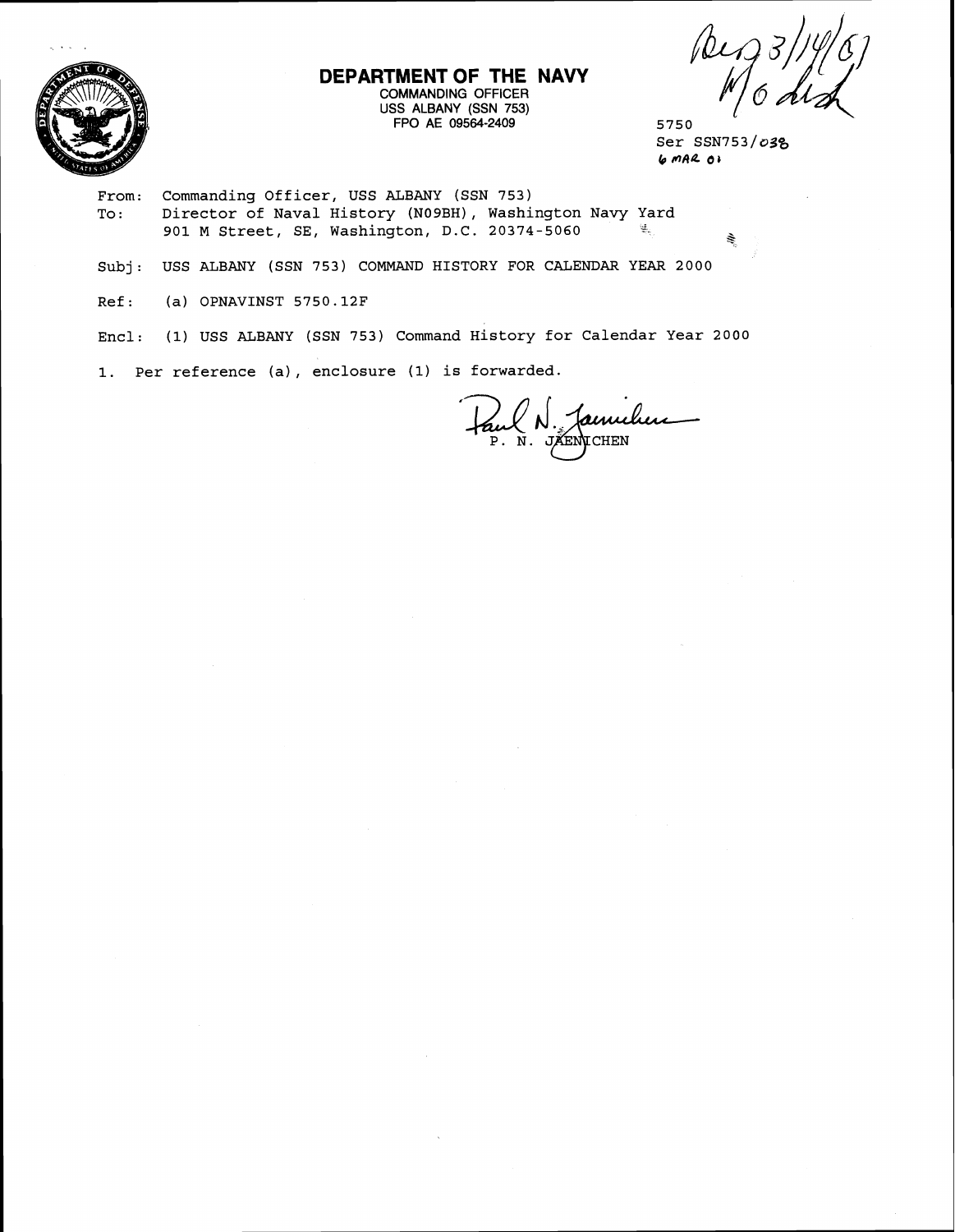

## **DEPARTMENT OF THE NAVY**  COMMANDING OFFICER USS ALBANY (SSN 753) FPO AE 09564-2409 5750

Peg 31

 $Ser$  SSN753/ $o3$ g **b nAQ 6,** 

From: Commanding Officer, USS ALBANY (SSN 753) To: Director of Naval History (NOgBH), Washington Navy Yard 901 M Street, SE, Washington, D.C. 20374-5060

Subj: USS ALBANY (SSN 753) COMMAND HISTORY FOR CALENDAR YEAR 2000

Ref: (a) OPNAVINST 5750.12F

Encl: (1) USS ALBANY (SSN 753) Command History for Calendar Year 2000

1. Per reference (a) , enclosure (1) is forwarded.

N. Jamuluu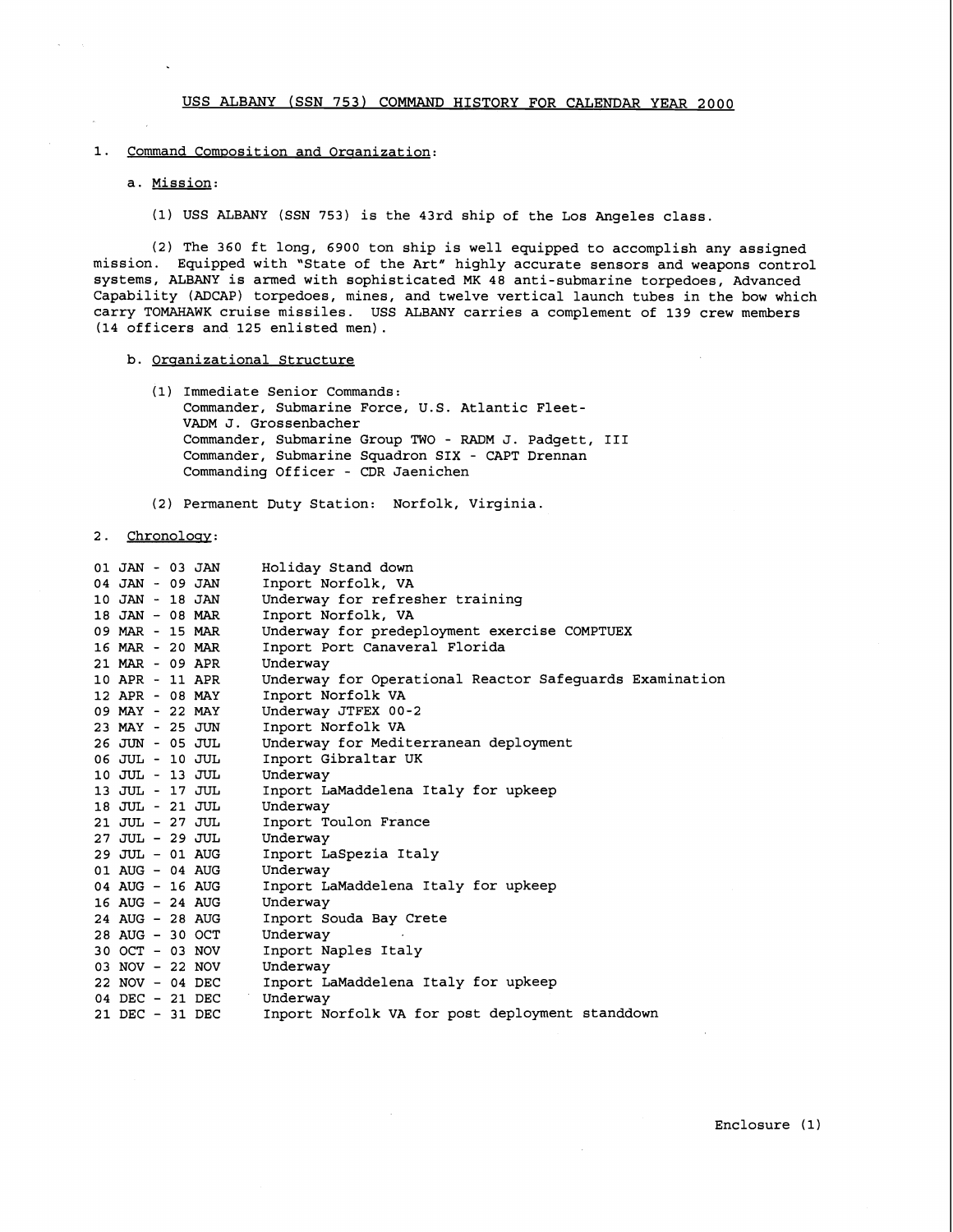#### 1. Command Composition and Organization:

# a. Mission:

**(1)** USS ALBANY (SSN **753)** is the **43rd** ship of the Los Angeles class.

**(2)** The **360** ft long, **6900** ton ship is well equipped to accomplish any assigned mission. Equipped with "State of the Art" highly accurate sensors and weapons control systems, ALBANY is armed with sophisticated MK **48** anti-submarine torpedoes, Advanced Capability (ADCAP) torpedoes, mines, and twelve vertical launch tubes in the bow which carry TOMAHAWK cruise missiles. USS ALBANY carries a complement of **139** crew members **(14** officers and **125** enlisted men).

### b. Organizational Structure

- **(1)** Immediate Senior Commands: Commander, Submarine Force, U.S. Atlantic Fleet-VADM J. Grossenbacher Commander, Submarine Group TWO - RADM J. Padgett, I11 Commander, Submarine Squadron SIX - CAPT Drennan Commanding Officer - CDR Jaenichen
- **(2)** Permanent Duty Station: Norfolk, Virginia

### 2. Chronology:

| 01 JAN - 03 JAN | Holiday Stand down                                      |
|-----------------|---------------------------------------------------------|
| 04 JAN - 09 JAN | Inport Norfolk, VA                                      |
| 10 JAN - 18 JAN | Underway for refresher training                         |
| 18 JAN - 08 MAR | Inport Norfolk, VA                                      |
| 09 MAR - 15 MAR | Underway for predeployment exercise COMPTUEX            |
| 16 MAR - 20 MAR | Inport Port Canaveral Florida                           |
| 21 MAR - 09 APR | Underway                                                |
| 10 APR - 11 APR | Underway for Operational Reactor Safequards Examination |
| 12 APR - 08 MAY | Inport Norfolk VA                                       |
| 09 MAY - 22 MAY | Underway JTFEX 00-2                                     |
| 23 MAY - 25 JUN | Inport Norfolk VA                                       |
| 26 JUN - 05 JUL | Underway for Mediterranean deployment                   |
| 06 JUL - 10 JUL | Inport Gibraltar UK                                     |
| 10 JUL - 13 JUL | Underway                                                |
| 13 JUL - 17 JUL | Inport LaMaddelena Italy for upkeep                     |
| 18 JUL - 21 JUL | Underway                                                |
| 21 JUL - 27 JUL | Inport Toulon France                                    |
| 27 JUL - 29 JUL | Underway                                                |
| 29 JUL - 01 AUG | Inport LaSpezia Italy                                   |
| 01 AUG - 04 AUG | Underway                                                |
| 04 AUG - 16 AUG | Inport LaMaddelena Italy for upkeep                     |
| 16 AUG - 24 AUG | Underway                                                |
| 24 AUG - 28 AUG | Inport Souda Bay Crete                                  |
| 28 AUG - 30 OCT | Underway                                                |
| 30 OCT - 03 NOV | Inport Naples Italy                                     |
| 03 NOV - 22 NOV | Underway                                                |
| 22 NOV - 04 DEC | Inport LaMaddelena Italy for upkeep                     |
| 04 DEC - 21 DEC | Underway                                                |
| 21 DEC - 31 DEC | Inport Norfolk VA for post deployment standdown         |